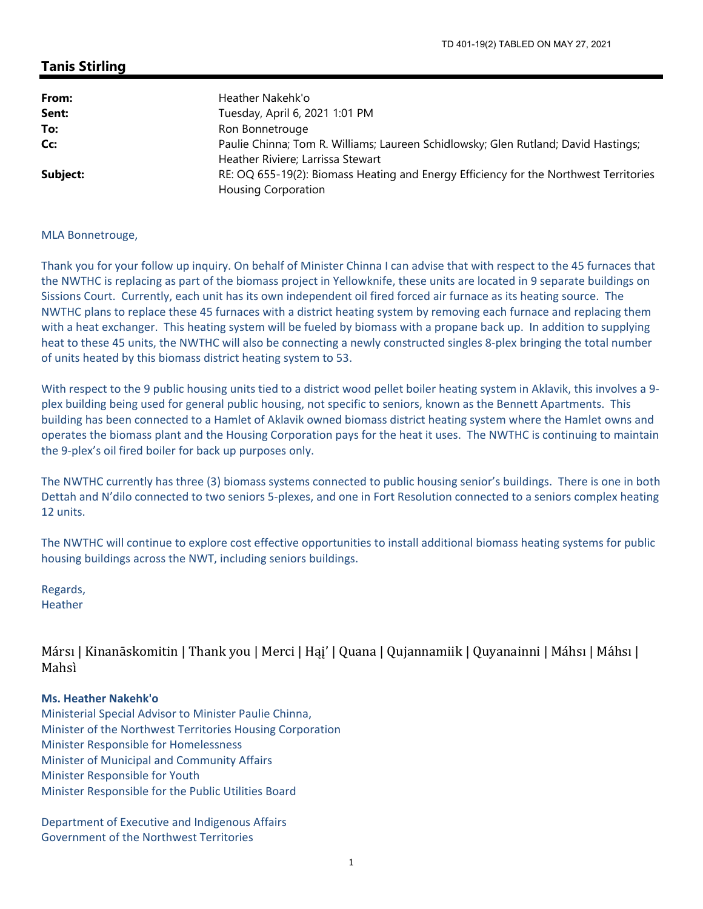## **Tanis Stirling**

| From:    | Heather Nakehk'o                                                                                                        |
|----------|-------------------------------------------------------------------------------------------------------------------------|
| Sent:    | Tuesday, April 6, 2021 1:01 PM                                                                                          |
| To:      | Ron Bonnetrouge                                                                                                         |
| Cc:      | Paulie Chinna; Tom R. Williams; Laureen Schidlowsky; Glen Rutland; David Hastings;<br>Heather Riviere; Larrissa Stewart |
| Subject: | RE: OQ 655-19(2): Biomass Heating and Energy Efficiency for the Northwest Territories<br><b>Housing Corporation</b>     |

### MLA Bonnetrouge,

Thank you for your follow up inquiry. On behalf of Minister Chinna I can advise that with respect to the 45 furnaces that the NWTHC is replacing as part of the biomass project in Yellowknife, these units are located in 9 separate buildings on Sissions Court. Currently, each unit has its own independent oil fired forced air furnace as its heating source. The NWTHC plans to replace these 45 furnaces with a district heating system by removing each furnace and replacing them with a heat exchanger. This heating system will be fueled by biomass with a propane back up. In addition to supplying heat to these 45 units, the NWTHC will also be connecting a newly constructed singles 8-plex bringing the total number of units heated by this biomass district heating system to 53.

With respect to the 9 public housing units tied to a district wood pellet boiler heating system in Aklavik, this involves a 9plex building being used for general public housing, not specific to seniors, known as the Bennett Apartments. This building has been connected to a Hamlet of Aklavik owned biomass district heating system where the Hamlet owns and operates the biomass plant and the Housing Corporation pays for the heat it uses. The NWTHC is continuing to maintain the 9‐plex's oil fired boiler for back up purposes only.

The NWTHC currently has three (3) biomass systems connected to public housing senior's buildings. There is one in both Dettah and N'dilo connected to two seniors 5‐plexes, and one in Fort Resolution connected to a seniors complex heating 12 units.

The NWTHC will continue to explore cost effective opportunities to install additional biomass heating systems for public housing buildings across the NWT, including seniors buildings.

Regards, Heather

Mársı | Kinanāskomitin | Thank you | Merci | Hąj' | Quana | Qujannamiik | Quyanainni | Máhsı | Máhsı | Mahsı̀

### **Ms. Heather Nakehk'o**

Ministerial Special Advisor to Minister Paulie Chinna, Minister of the Northwest Territories Housing Corporation Minister Responsible for Homelessness Minister of Municipal and Community Affairs Minister Responsible for Youth Minister Responsible for the Public Utilities Board

Department of Executive and Indigenous Affairs Government of the Northwest Territories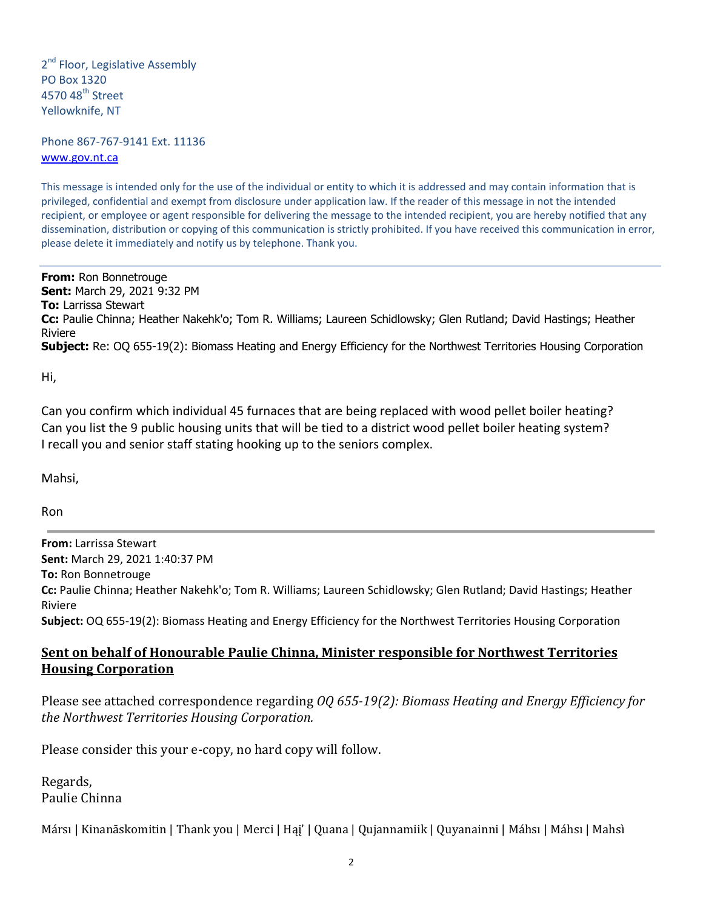2<sup>nd</sup> Floor, Legislative Assembly PO Box 1320 4570 48<sup>th</sup> Street Yellowknife, NT

Phone 867‐767‐9141 Ext. 11136 www.gov.nt.ca

This message is intended only for the use of the individual or entity to which it is addressed and may contain information that is privileged, confidential and exempt from disclosure under application law. If the reader of this message in not the intended recipient, or employee or agent responsible for delivering the message to the intended recipient, you are hereby notified that any dissemination, distribution or copying of this communication is strictly prohibited. If you have received this communication in error, please delete it immediately and notify us by telephone. Thank you.

**From:** Ron Bonnetrouge **Sent:** March 29, 2021 9:32 PM **To:** Larrissa Stewart **Cc:** Paulie Chinna; Heather Nakehk'o; Tom R. Williams; Laureen Schidlowsky; Glen Rutland; David Hastings; Heather Riviere **Subject:** Re: OQ 655-19(2): Biomass Heating and Energy Efficiency for the Northwest Territories Housing Corporation

Hi,

Can you confirm which individual 45 furnaces that are being replaced with wood pellet boiler heating? Can you list the 9 public housing units that will be tied to a district wood pellet boiler heating system? I recall you and senior staff stating hooking up to the seniors complex.

Mahsi,

Ron

**From:** Larrissa Stewart **Sent:** March 29, 2021 1:40:37 PM **To:** Ron Bonnetrouge **Cc:** Paulie Chinna; Heather Nakehk'o; Tom R. Williams; Laureen Schidlowsky; Glen Rutland; David Hastings; Heather Riviere **Subject:** OQ 655‐19(2): Biomass Heating and Energy Efficiency for the Northwest Territories Housing Corporation

# **Sent on behalf of Honourable Paulie Chinna, Minister responsible for Northwest Territories Housing Corporation**

Please see attached correspondence regarding *OQ 655‐19(2): Biomass Heating and Energy Efficiency for the Northwest Territories Housing Corporation.* 

Please consider this your e‐copy, no hard copy will follow.

Regards, Paulie Chinna

Mársı | Kinanāskomitin | Thank you | Merci | Hai' | Quana | Qujannamiik | Quyanainni | Máhsı | Máhsı | Mahsì